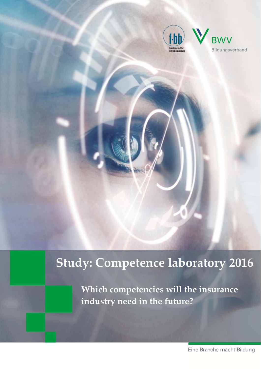

# **Study: Competence laboratory 2016**

**Which competencies will the insurance industry need in the future?**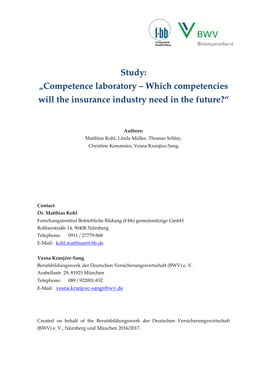

# **Study:**

# **"Competence laboratory – Which competencies will the insurance industry need in the future?"**

**Authors:**

Matthias Kohl, Linda Müller, Thomas Schley, Christine Kemmsies, Vesna Kranjčec‐Sang

**Contact:**

#### **Dr. Matthias Kohl**

Forschungsinstitut Betriebliche Bildung (f‐bb) gemeinnützige GmbH Rollnerstraße 14, 90408 Nürnberg Telephone: 0911 / 27779‐868 E‐Mail: kohl.matthias@f‐bb.de

#### **Vesna Kranjčec‐Sang**

Berufsbildungswerk der Deutschen Versicherungswirtschaft (BWV) e. V. Arabellastr. 29, 81925 München Telephone: 089 / 922001‐832 E-Mail: vesna.kranjcec-sang@bwv.de

Created on behalf of the Berufsbildungswerk der Deutschen Versicherungswirtschaft (BWV) e. V., Nürnberg und München 2016/2017.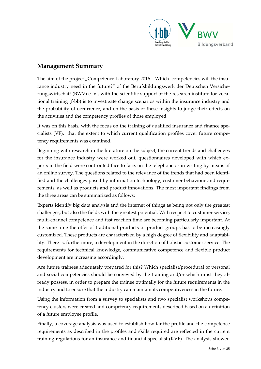

### **Management Summary**

The aim of the project "Competence Laboratory  $2016 -$  Which competencies will the insurance industry need in the future?" of the Berufsbildungswerk der Deutschen Versiche‐ rungswirtschaft (BWV) e. V., with the scientific support of the research institute for vocational training (f‐bb) is to investigate change scenarios within the insurance industry and the probability of occurrence, and on the basis of these insights to judge their effects on the activities and the competency profiles of those employed.

It was on this basis, with the focus on the training of qualified insurance and finance specialists (VF), that the extent to which current qualification profiles cover future compe‐ tency requirements was examined.

Beginning with research in the literature on the subject, the current trends and challenges for the insurance industry were worked out, questionnaires developed with which experts in the field were confronted face to face, on the telephone or in writing by means of an online survey. The questions related to the relevance of the trends that had been identified and the challenges posed by information technology, customer behaviour and requirements, as well as products and product innovations. The most important findings from the three areas can be summarized as follows:

Experts identify big data analysis and the internet of things as being not only the greatest challenges, but also the fields with the greatest potential. With respect to customer service, multi‐channel competence and fast reaction time are becoming particularly important. At the same time the offer of traditional products or product groups has to be increasingly customized. These products are characterized by a high degree of flexibility and adaptabi‐ lity. There is, furthermore, a development in the direction of holistic customer service. The requirements for technical knowledge, communicative competence and flexible product development are increasing accordingly.

Are future trainees adequately prepared for this? Which specialist/procedural or personal and social competencies should be conveyed by the training and/or which must they already possess, in order to prepare the trainee optimally for the future requirements in the industry and to ensure that the industry can maintain its competitiveness in the future.

Using the information from a survey to specialists and two specialist workshops competency clusters were created and competency requirements described based on a definition of a future employee profile.

Finally, a coverage analysis was used to establish how far the profile and the competence requirements as described in the profiles and skills required are reflected in the current training regulations for an insurance and financial specialist (KVF). The analysis showed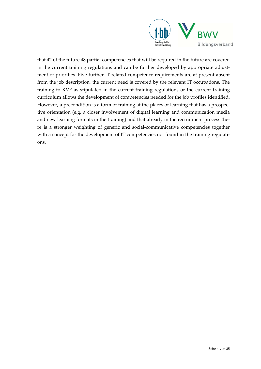

that 42 of the future 48 partial competencies that will be required in the future are covered in the current training regulations and can be further developed by appropriate adjustment of priorities. Five further IT related competence requirements are at present absent from the job description: the current need is covered by the relevant IT occupations. The training to KVF as stipulated in the current training regulations or the current training curriculum allows the development of competencies needed for the job profiles identified. However, a precondition is a form of training at the places of learning that has a prospec‐ tive orientation (e.g. a closer involvement of digital learning and communication media and new learning formats in the training) and that already in the recruitment process there is a stronger weighting of generic and social‐communicative competencies together with a concept for the development of IT competencies not found in the training regulations.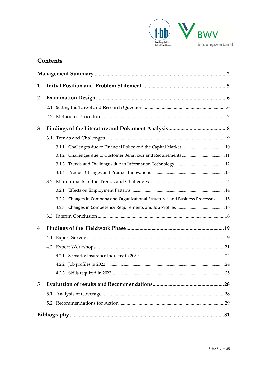

# **Contents**

| 1              |  |                                                                                   |  |
|----------------|--|-----------------------------------------------------------------------------------|--|
| $\overline{2}$ |  |                                                                                   |  |
|                |  |                                                                                   |  |
|                |  |                                                                                   |  |
| 3              |  |                                                                                   |  |
|                |  |                                                                                   |  |
|                |  |                                                                                   |  |
|                |  |                                                                                   |  |
|                |  |                                                                                   |  |
|                |  |                                                                                   |  |
|                |  |                                                                                   |  |
|                |  |                                                                                   |  |
|                |  | 3.2.2 Changes in Company and Organizational Structures and Business Processes  15 |  |
|                |  |                                                                                   |  |
|                |  |                                                                                   |  |
| 4              |  |                                                                                   |  |
|                |  |                                                                                   |  |
|                |  |                                                                                   |  |
|                |  |                                                                                   |  |
|                |  |                                                                                   |  |
|                |  |                                                                                   |  |
| 5              |  |                                                                                   |  |
|                |  |                                                                                   |  |
|                |  |                                                                                   |  |
|                |  |                                                                                   |  |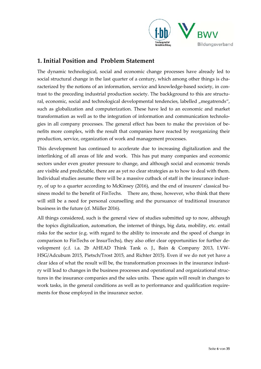

## **1. Initial Position and Problem Statement**

The dynamic technological, social and economic change processes have already led to social structural change in the last quarter of a century, which among other things is characterized by the notions of an information, service and knowledge-based society, in contrast to the preceding industrial production society. The backkground to this are structural, economic, social and technological developmental tendencies, labelled "megatrends", such as globalization and computerization. These have led to an economic and market transformation as well as to the integration of information and communication technolo‐ gies in all company processes. The general effect has been to make the provision of be‐ nefits more complex, with the result that companies have reacted by reorganizing their production, service, organization of work and management processes.

This development has continued to accelerate due to increasing digitalization and the interlinking of all areas of life and work. This has put many companies and economic sectors under even greater pressure to change, and although social and economic trends are visible and predictable, there are as yet no clear strategies as to how to deal with them. Individual studies assume there will be a massive cutback of staff in the insurance indust‐ ry, of up to a quarter according to McKinsey (2016), and the end of insurers' classical bu‐ siness model to the benefit of FinTechs. There are, those, however, who think that there will still be a need for personal counselling and the pursuance of traditional insurance business in the future (cf. Müller 2016).

All things considered, such is the general view of studies submitted up to now, although the topics digitalization, automation, the internet of things, big data, mobility, etc. entail risks for the sector (e.g. with regard to the ability to innovate and the speed of change in comparison to FinTechs or InsurTechs), they also offer clear opportunities for further de‐ velopment (c.f. i.a. 2b AHEAD Think Tank o. J., Bain & Company 2013, I.VW‐ HSG/Adcubum 2015, Pietsch/Trost 2015, and Richter 2015). Even if we do not yet have a clear idea of what the result will be, the transformation processes in the insurance industry will lead to changes in the business processes and operational and organizational struc‐ tures in the insurance companies and the sales units. These again will result in changes to work tasks, in the general conditions as well as to performance and qualification requirements for those employed in the insurance sector.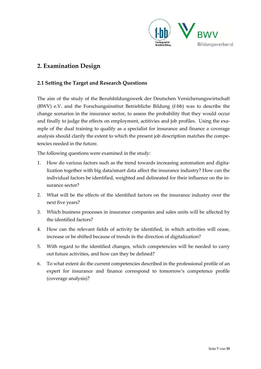

# **2. Examination Design**

#### **2.1 Setting the Target and Research Questions**

The aim of the study of the Berufsbildungswerk der Deutschen Versicherungswirtschaft (BWV) e.V. and the Forschungsinstitut Betriebliche Bildung (f‐bb) was to describe the change scenarios in the insurance sector, to assess the probability that they would occur and finally to judge the effects on employment, actitivies and job profiles. Using the example of the dual training to qualify as a specialist for insurance and finance a coverage analysis should clarify the extent to which the present job description matches the compe‐ tencies needed in the future.

The following questions were examined in the study:

- 1. How do various factors such as the trend towards increasing automation and digita‐ lization together with big data/smart data affect the insurance industry? How can the individual factors be identified, weighted and delineated for their influence on the in‐ surance sector?
- 2. What will be the effects of the identified factors on the insurance industry over the next five years?
- 3. Which business processes in insurance companies and sales units will be affected by the identified factors?
- 4. How can the relevant fields of activity be identified, in which activities will cease, increase or be shifted because of trends in the direction of digitalization?
- 5. With regard to the identified changes, which competencies will be needed to carry out future activities, and how can they be defined?
- 6. To what extent do the current competencies described in the professional profile of an expert for insurance and finance correspond to tomorrow's competence profile (coverage analysis)?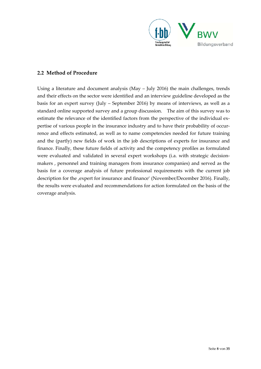

#### **2.2 Method of Procedure**

Using a literature and document analysis (May – July 2016) the main challenges, trends and their effects on the sector were identified and an interview guideline developed as the basis for an expert survey (July – September 2016) by means of interviews, as well as a standard online supported survey and a group discussion. The aim of this survey was to estimate the relevance of the identified factors from the perspective of the individual expertise of various people in the insurance industry and to have their probability of occurrence and effects estimated, as well as to name competencies needed for future training and the (partly) new fields of work in the job descriptions of experts for insurance and finance. Finally, these future fields of activity and the competency profiles as formulated were evaluated and validated in several expert workshops (i.a. with strategic decisionmakers , personnel and training managers from insurance companies) and served as the basis for a coverage analysis of future professional requirements with the current job description for the , expert for insurance and finance' (November/December 2016). Finally, the results were evaluated and recommendations for action formulated on the basis of the coverage analysis.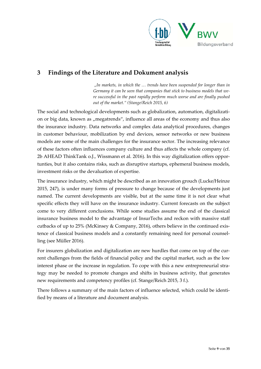

# **3 Findings of the Literature and Dokument analysis**

*"In markets, in which the … trends have been suspended for longer than in Germany it can be seen that companies that stick to business models that we‐ re successful in the past rapidly perform much worse and are finally pushed out of the market." (Stange/Reich 2015, 6)* 

The social and technological developments such as globalization, automation, digitalizati‐ on or big data, known as "megatrends", influence all areas of the economy and thus also the insurance industry. Data networks and complex data analytical procedures, changes in customer behaviour, mobilization by end devices, sensor networks or new business models are some of the main challenges for the insurance sector. The increasing relevance of these factors often influences company culture and thus affects the whole company (cf. 2b AHEAD ThinkTank o.J., Wissmann et al. 2016). In this way digitalization offers oppor‐ tunties, but it also contains risks, such as disruptive startups, ephemeral business models, investment risks or the devaluation of expertise.

The insurance industry, which might be described as an innovation grouch (Lucke/Heinze 2015, 247), is under many forms of pressure to change because of the developments just named. The current developments are visible, but at the same time it is not clear what specific effects they will have on the insurance industry. Current forecasts on the subject come to very different conclusions. While some studies assume the end of the classical insurance business model to the advantage of InsurTechs and reckon with massive staff cutbacks of up to 25% (McKinsey & Company, 2016), others believe in the continued exis‐ tence of classical business models and a constantly remaining need for personal counselling (see Müller 2016).

For insurers globalization and digitalization are new hurdles that come on top of the current challenges from the fields of financial policy and the capital market, such as the low interest phase or the increase in regulation. To cope with this a new entrepreneurial strategy may be needed to promote changes and shifts in business activity, that generates new requirements and competency profiles (cf. Stange/Reich 2015, 3 f.).

There follows a summary of the main factors of influence selected, which could be identified by means of a literature and document analysis.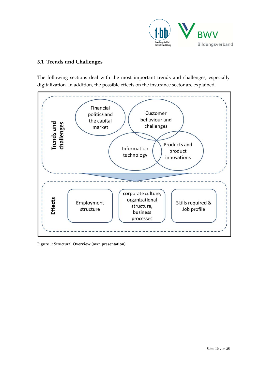

#### **3.1 Trends und Challenges**

The following sections deal with the most important trends and challenges, especially digitalization. In addition, the possible effects on the insurance sector are explained.



**Figure 1: Structural Overview (own presentation)**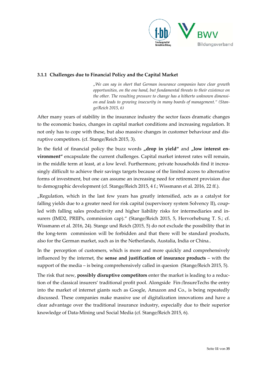

#### **3.1.1 Challenges due to Financial Policy and the Capital Market**

*"We can say in short that German insurance companies have clear growth opportunities, on the one hand, but fundamental threats to their existence on the other. The resulting pressure to change has a hitherto unknown dimensi‐ on and leads to growing insecurity in many boards of management." (Stan‐ ge/Reich 2015, 6)*

After many years of stability in the insurance industry the sector faces dramatic changes to the economic basics, changes in capital market conditions and increasing regulation. It not only has to cope with these, but also massive changes in customer behaviour and dis‐ ruptive competitors. (cf. Stange/Reich 2015, 3).

In the field of financial policy the buzz words "drop in yield" and "low interest en**vironment"** encapsulate the current challenges. Capital market interest rates will remain, in the middle term at least, at a low level. Furthermore, private households find it increasingly difficult to achieve their savings targets because of the limited access to alternative forms of investment, but one can assume an increasing need for retirement provision due to demographic development (cf. Stange/Reich 2015, 4 f.; Wissmann et al. 2016, 22 ff.).

"Regulation, which in the last few years has greatly intensified, acts as a catalyst for falling yields due to a greater need for risk capital (supervisory system Solvency II), coupled with falling sales productivity and higher liability risks for intermediaries and in‐ surers (IMD2, PRIIPs, commission cap)." (Stange/Reich 2015, 5, Hervorhebung T. S.; cf. Wissmann et al. 2016, 24). Stange und Reich (2015, 5) do not exclude the possibility that in the long-term commission will be forbidden and that there will be standard products, also for the German market, such as in the Netherlands, Austalia, India or China..

In the perception of customers, which is more and more quickly and comprehensively influenced by the internet, the **sense and justification of insurance products** – with the support of the media – is being comprehensively called in quesion (Stange/Reich 2015, 5).

The risk that new, **possibly disruptive competitors** enter the market is leading to a reduc‐ tion of the classical insurers' traditional profit pool. Alongside Fin‐/InsureTechs the entry into the market of internet giants such as Google, Amazon and Co., is being repeatedly discussed. These companies make massive use of digitalization innovations and have a clear advantage over the traditional insurance industry, especially due to their superior knowledge of Data‐Mining und Social Media (cf. Stange/Reich 2015, 6).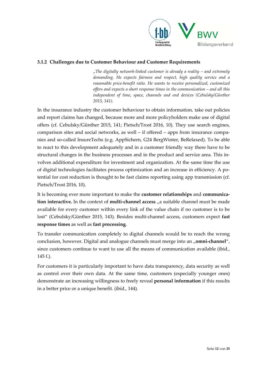

#### **3.1.2 Challenges due to Customer Behaviour and Customer Requirements**

*"The digitally network‐linked customer is already a reality – and extremely demanding. He expects fairness and respect, high quality service and a reasonable price‐benefit ratio. He wants to receive personalized, customized offers and expects a short response times in the communication – and all this independent of time, space, channels and end devices (Cebulsky/Günther 2015, 141).*

In the insurance industry the customer behaviour to obtain information, take out policies and report claims has changed, because more and more policyholders make use of digital offers (cf. Cebulsky/Günther 2015, 141; Pietsch/Trost 2016, 10). They use search engines, comparison sites and social networks, as well – if offered – apps from insurance companies and so‐called InsureTechs (e.g. AppSichern, G24 BergWinter, BeRelaxed). To be able to react to this development adequately and in a customer friendly way there have to be structural changes in the business processes and in the product and service area. This in‐ volves additional expenditure for investment and organization. At the same time the use of digital technologies facilitates process optimization and an increase in efficiency. A po‐ tential for cost reduction is thought to be fast claims reporting using app transmission (cf. Pietsch/Trost 2016, 10).

It is becoming ever more important to make the **customer relationships** and **communica‐ tion interactive.** In the context of **multi‐channel access** "a suitable channel must be made available for every customer within every link of the value chain if no customer is to be lost" (Cebulsky/Günther 2015, 143). Besides multi‐channel access, customers expect **fast response times** as well as **fast processing**.

To transfer communication completely to digital channels would be to reach the wrong conclusion, however. Digital and analogue channels must merge into an "omni-channel", since customers continue to want to use all the means of communication available (ibid., 145 f.).

For customers it is particularly important to have data transparency, data security as well as control over their own data. At the same time, customers (especially younger ones) demonstrate an increasing willingness to freely reveal **personal information** if this results in a better price or a unique benefit. (ibid., 144).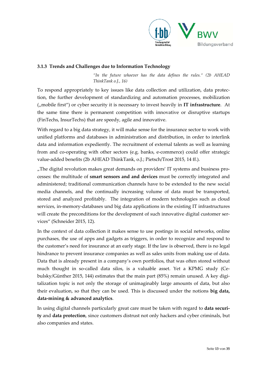

#### **3.1.3 Trends and Challenges due to Information Technology**

*"In the future whoever has the data defines the rules." (2b AHEAD ThinkTank o.J., 16)*

To respond appropriately to key issues like data collection and utilization, data protec‐ tion, the further development of standardizing and automation processes, mobilization ("mobile first") or cyber security it is necessary to invest heavily in **IT infrastructure**. At the same time there is permanent competition with innovative or disruptive startups (FinTechs, InsurTechs) that are speedy, agile and innovative.

With regard to a big data strategy, it will make sense for the insurance sector to work with unified platforms and databases in administration and distribution, in order to interlink data and information expediently. The recruitment of external talents as well as learning from and co-operating with other sectors (e.g. banks, e-commerce) could offer strategic value-added benefits (2b AHEAD ThinkTank, o.J.; Pietsch/Trost 2015, 14 ff.).

"The digital revolution makes great demands on providers' IT systems and business processes: the multitude of **smart sensors and and devices** must be correctly integrated and administered; traditional communication channels have to be extended to the new social media channels, and the continually increasing volume of data must be transported, stored and analyzed profitably. The integration of modern technologies such as cloud services, in-memory-databases und big data applications in the existing IT infrastructures will create the preconditions for the development of such innovative digital customer services" (Schneider 2015, 12).

In the context of data collection it makes sense to use postings in social networks, online purchases, the use of apps and gadgets as triggers, in order to recognize and respond to the customer's need for insurance at an early stage. If the law is observed, there is no legal hindrance to prevent insurance companies as well as sales units from making use of data. Data that is already present in a company's own portfolios, that was often stored without much thought in so-called data silos, is a valuable asset. Yet a KPMG study (Cebulsky/Günther 2015, 144) estimates that the main part (85%) remain unused. A key digitalization topic is not only the storage of unimaginably large amounts of data, but also their evaluation, so that they can be used. This is discussed under the notions **big data, data‐mining & advanced analytics**.

In using digital channels particularly great care must be taken with regard to **data securi‐ ty** and **data protection**, since customers distrust not only hackers and cyber criminals, but also companies and states.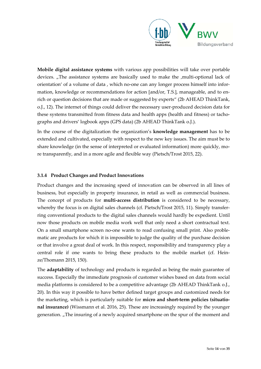

**Mobile digital assistance systems** with various app possibilities will take over portable devices. "The assistance systems are basically used to make the ,multi-optional lack of orientation' of a volume of data, which no-one can any longer process himself into information, knowledge or recommendations for action [and/or, T.S.], manageable, and to en‐ rich or question decisions that are made or suggested by experts" (2b AHEAD ThinkTank, o.J., 12). The internet of things could deliver the necessary user‐produced decision data for these systems transmitted from fitness data and health apps (health and fitness) or tachographs and drivers' logbook apps (GPS data) (2b AHEAD ThinkTank o.J.).

In the course of the digitalization the organization's **knowledge management** has to be extended and cultivated, especially with respect to the new key issues. The aim must be to share knowledge (in the sense of interpreted or evaluated information) more quickly, more transparently, and in a more agile and flexible way (Pietsch/Trost 2015, 22).

#### **3.1.4 Product Changes and Product Innovations**

Product changes and the increasing speed of innovation can be observed in all lines of business, but especially in property insurance, in retail as well as commercial business. The concept of products for **multi‐access distribution** is considered to be necessary, whereby the focus is on digital sales channels (cf. Pietsch/Trost 2015, 11). Simply transferring conventional products to the digital sales channels would hardly be expedient. Until now those products on mobile media work well that only need a short contractual text. On a small smartphone screen no‐one wants to read confusing small print. Also proble‐ matic are products for which it is impossible to judge the quality of the purchase decision or that involve a great deal of work. In this respect, responsibility and transparency play a central role if one wants to bring these products to the mobile market (cf. Heinze/Thomann 2015, 150).

The **adaptability** of technology and products is regarded as being the main guarantee of success. Especially the immediate prognosis of customer wishes based on data from social media platforms is considered to be a competitive advantage (2b AHEAD ThinkTank o.J., 20). In this way it possible to have better defined target groups and customized needs for the marketing, which is particularly suitable for **micro and short‐term policies (situatio‐ nal insurance)** (Wissmann et al. 2016, 25). These are increasingly required by the younger generation. "The insuring of a newly acquired smartphone on the spur of the moment and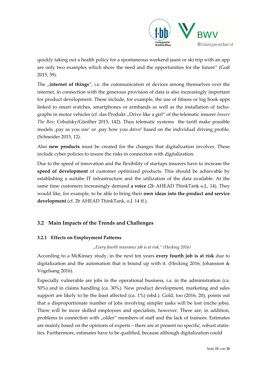

quickly taking out a health policy for a spontaneous weekend jaunt or ski trip with an app are only two examples which show the need and the opportunities for the future" (Guß 2015, 39).

The *f* internet of things<sup>"</sup>, i.e. the communication of devices among themselves over the internet, in connection with the generous provision of data is also increasingly important for product development. These include, for example, the use of fitness or log book apps linked to smart watches, smartphones or armbands as well as the installation of tachographs in motor vehicles (cf. das Produkt "Drive like a girl" of the telematic insurer *Insure The Box*; Cebulsky/Günther 2015, 142). Thus telematic systems the tariff make possible models , pay as you use' or , pay how you drive' based on the individual driving profile. (Schneider 2015, 12).

Also **new products** must be created for the changes that digitalization involves. These include cyber policies to insure the risks in connection with digitalization.

Due to the speed of innovation and the flexibility of startups insurers have to increase the **speed of development** of customer optimized products. This should be achievable by establishing a suitabe IT infrastructure and the utilization of the data available. At the same time customers increasingly demand **a voice** (2b AHEAD ThinkTank o.J., 14). They would like, for example, to be able to bring their **own ideas into the product and service development** (cf. 2b AHEAD ThinkTank, o.J. 14 ff.).

#### **3.2 Main Impacts of the Trends and Challenges**

#### **3.2.1 Effects on Employment Patterns**

*"Every fourth insurance job is at risk." (Hecking 2016)*

According to a McKinsey study, in the next ten years **every fourth job is at risk** due to digitalization and the automation that is bound up with it. (Hecking 2016; Johansson & Vogelsang 2016).

Especially vulnerable are jobs in the operational business, i.a. in the administration (ca. 50%) and in claims handling (ca. 30%). New product development, marketing and sales support are likely to be the least affected (ca. 1%) (ebd.). Gold, too (2016, 20), points out that a disproportionate number of jobs involving simpler tasks will be lost (niche jobs). There will be more skilled employees and specialists, however. There are, in addition, problems in connection with "older" members of staff and the lack of trainees. Estimates are mainly based on the opinions of experts – there are at present no specific, robust statistics. Furthermore, estimates have to be qualified, because although digitalization could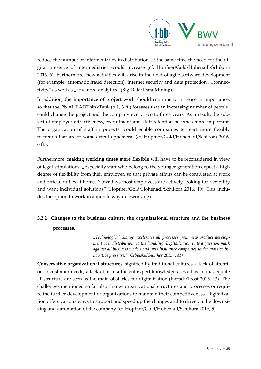

reduce the number of intermediaries in distribution, at the same time the need for the di‐ gital presence of intermediaries would increase (cf. Hopfner/Gold/Hohenadl/Schikora 2016, 6). Furthermore, new activities will arise in the field of agile software development (for example, automatic fraud detection), internet security and data protection,  $\mu$  connectivity" as well as "advanced analytics" (Big Data; Data-Mining).

In addition, **the importance of project** work should continue to increase in importance, so that the 2b AHEADThinkTank (o.J., 3 ff.) foresees that an increasing number of people could change the project and the company every two to three years. As a result, the subject of employer attractiveness, recruitment and staff retention becomes more important. The organization of staff in projects would enable companies to react more flexibly to trends that are to some extent ephemeral (cf. Hopfner/Gold/Hohenadl/Schikora 2016, 6 ff.).

Furthermore, **making working times more flexible** will have to be reconsidered in view of legal stipulations. "Especially staff who belong to the younger generation expect a high degree of flexibility from their employer, so that private affairs can be completed at work and official duties at home. Nowadays most employees are actively looking for flexibility and want individual solutions" (Hopfner/Gold/Hohenadl/Schikora 2016, 10). This includes the option to work in a mobile way (teleworking).

# **3.2.2 Changes to the business culture, the organizational structure and the business processes.**

*"Technological change accelerates all processes from new product develop‐ ment over distributioin to the handling. Digitalization puts a question mark against all business models and puts insurance companies under massive in‐ novative pressure." (Cebulsky/Günther 2015, 141)*

**Conservative organizational structures**, signified by traditional cultures, a lack of attenti‐ on to customer needs, a lack of or insufficient expert knowledge as well as an inadequate IT structure are seen as the main obstacles for digitalization (Pietsch/Trost 2015, 13). The challenges mentioned so far also change organizational structures and processes or require the further development of organizations to maintain their competitiveness. Digitalization offers various ways to support and speed up the changes and to drive on the downsizing and automation of the company (cf. Hopfner/Gold/Hohenadl/Schikora 2016, 5).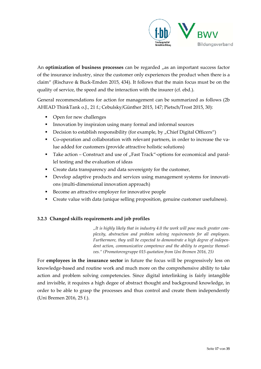

An **optimization** of business processes can be regarded  $n$  as an important success factor of the insurance industry, since the customer only experiences the product when there is a claim" (Rischave & Buck‐Emden 2015, 434). It follows that the main focus must be on the quality of service, the speed and the interaction with the insurer (cf. ebd.).

General recommendations for action for management can be summarized as follows (2b AHEAD ThinkTank o.J., 21 f.; Cebulsky/Günther 2015, 147; Pietsch/Trost 2015, 30):

- Open for new challenges
- Innovation by inspiraion using many formal and informal sources
- Decision to establish responsibility (for example, by "Chief Digital Officers")
- Co-operation and collaboration with relevant partners, in order to increase the value added for customers (provide attractive holistic solutions)
- Take action Construct and use of "Fast Track"-options for economical and parallel testing and the evaluation of ideas
- **Create data transparency and data sovereignty for the customer,**
- Develop adaptive products and services using management systems for innovations (multi‐dimensional innovation approach)
- Become an attractive employer for innovative people
- Create value with data (unique selling proposition, genuine customer usefulness).

#### **3.2.3 Changed skills requirements and job profiles**

*"It is highly likely that in industry 4.0 the work will pose much greater com‐ plexity, abstraction and problem solving requirements for all employees. Furthermore, they will be expected to demonstrate a high degree of indepen‐ dent action, communicative competence and the ability to organize themsel‐ ves." (Promotorengruppe 015 quotation from Uni Bremen 2016, 25)*

For **employees in the insurance sector** in future the focus will be progressively less on knowledge‐based and routine work and much more on the comprehensive ability to take action and problem solving competencies. Since digital interlinking is fairly intangible and invisible, it requires a high degee of abstract thought and background knowledge, in order to be able to grasp the processes and thus control and create them independently (Uni Bremen 2016, 25 f.).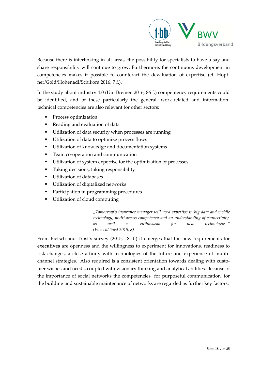

Because there is interlinking in all areas, the possibility for specialists to have a say and share responsibility will continue to grow. Furthermore, the continuous development in competencies makes it possible to counteract the devaluation of expertise (cf. Hopfner/Gold/Hohenadl/Schikora 2016, 7 f.).

In the study about industry 4.0 (Uni Bremen 2016, 86 f.) compentency requirements could be identified, and of these particularly the general, work-related and informationtechnical competencies are also relevant for other sectors:

- Process optimization
- Reading and evaluation of data
- Utilization of data security when processes are running
- Utilization of data to optimize process flows
- Utilization of knowledge and documentation systems
- Team co-operation and communication
- Utilization of system expertise for the optimization of processes
- Taking decisions, taking responsibility
- **Utilization of databases**
- **Utilization of digitalized networks**
- Participation in programming procedures
- Utilization of cloud computing

*"Tomorrow's insurance manager will need expertise in big data and mobile technology, multi‐access competency and an understanding of connectivity, as well as enthusiasm for new technologies." (Pietsch/Trost 2015, 8)*

From Pietsch and Trost's survey (2015, 18 ff.) it emerges that the new requirements for **executives** are openness and the willingness to experiment for innovations, readiness to risk changes, a close affinity with technologies of the future and experience of mulitichannel strategies. Also required is a consistent orientation towards dealing with customer wishes and needs, coupled with visionary thinking and analytical abilities. Because of the importance of social networks the competencies for purposeful communication, for the building and sustainable maintenance of networks are regarded as further key factors.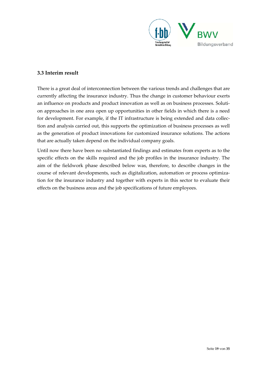

#### **3.3 Interim result**

There is a great deal of interconnection between the various trends and challenges that are currently affecting the insurance industry. Thus the change in customer behaviour exerts an influence on products and product innovation as well as on business processes. Soluti‐ on approaches in one area open up opportunities in other fields in which there is a need for development. For example, if the IT infrastructure is being extended and data collec‐ tion and analysis carried out, this supports the optimization of business processes as well as the generation of product innovations for customized insurance solutions. The actions that are actually taken depend on the individual company goals.

Until now there have been no substantiated findings and estimates from experts as to the specific effects on the skills required and the job profiles in the insurance industry. The aim of the fieldwork phase described below was, therefore, to describe changes in the course of relevant developments, such as digitalization, automation or process optimiza‐ tion for the insurance industry and together with experts in this sector to evaluate their effects on the business areas and the job specifications of future employees.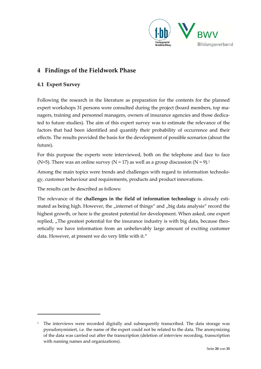

# **4 Findings of the Fieldwork Phase**

#### **4.1 Expert Survey**

Following the research in the literature as preparation for the contents for the planned expert workshops 31 persons were consulted during the project (board members, top managers, training and personnel managers, owners of insurance agencies and those dedicated to future studies). The aim of this expert survey was to estimate the relevance of the factors that had been identified and quantify their probability of occurrence and their effects. The results provided the basis for the development of possible scenarios (about the future).

For this purpose the experts were interviewed, both on the telephone and face to face (N=5). There was an online survey (N = 17) as well as a group discussion (N = 9).<sup>1</sup>

Among the main topics were trends and challenges with regard to information technology, customer behaviour and requirements, products and product innovations.

The results can be described as follows:

The relevance of the **challenges in the field of information technology** is already esti‐ mated as being high. However, the "internet of things" and "big data analysis" record the highest growth, or here is the greatest potential for development. When asked, one expert replied, "The greatest potential for the insurance industry is with big data, because theoretically we have information from an unbelievably large amount of exciting customer data. However, at present we do very little with it."

 $1$  The interviews were recorded digitally and subsequently transcribed. The data storage was pyeudonymisiert, i.e. the name of the expert could not be related to the data. The anonymizing of the data was carried out after the transcription (deletion of interview recording, transcription with naming names and organizations).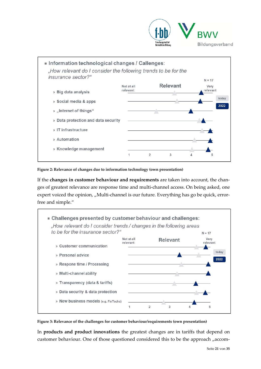



**Figure 2: Relevance of changes due to information technology (own presentation)**

If the **changes in customer behaviour and requirements** are taken into account, the chan‐ ges of greatest relevance are response time and multi‐channel access. On being asked, one expert voiced the opinion, "Multi-channel is our future. Everything has go be quick, errorfree and simple."



**Figure 3: Relevance of the challenges for customer behaviour/requirements (own presentation)**

In **products and product innovations** the greatest changes are in tariffs that depend on customer behaviour. One of those questioned considered this to be the approach "accom-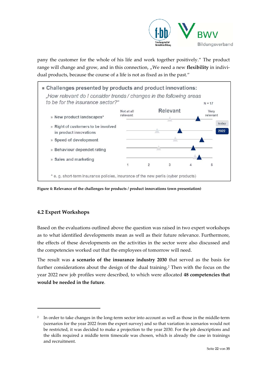

pany the customer for the whole of his life and work together positively." The product range will change and grow, and in this connection, "We need a new **flexibility** in individual products, because the course of a life is not as fixed as in the past."



**Figure 4: Relevance of the challenges for products / product innovations (own presentation)**

#### **4.2 Expert Workshops**

Based on the evaluations outlined above the question was raised in two expert workshops as to what identified developments mean as well as their future relevance. Furthermore, the effects of these developments on the activities in the sector were also discussed and the competencies worked out that the employees of tomorrow will need.

The result was **a scenario of the insurance industry 2030** that served as the basis for further considerations about the design of the dual training.<sup>2</sup> Then with the focus on the year 2022 new job profiles were described, to which were allocated **48 competencies that would be needed in the future**.

<sup>&</sup>lt;sup>2</sup> In order to take changes in the long-term sector into account as well as those in the middle-term (scenarios for the year 2022 from the expert survey) and so that variation in scenarios would not be restricted, it was decided to make a projection to the year 2030. For the job descriptions and the skills required a middle term timescale was chosen, which is already the case in trainings and recruitment.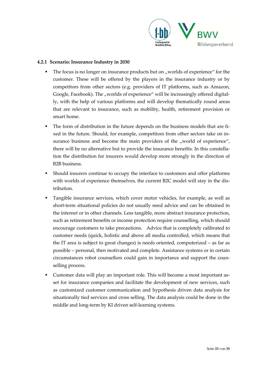

#### **4.2.1 Scenario: Insurance Industry in 2030**

- The focus is no longer on insurance products but on "worlds of experience" for the customer. These will be offered by the players in the insurance industry or by competitors from other sectors (e.g. providers of IT platforms, such as Amazon, Google, Facebook). The "worlds of experience" will be increasingly offered digitally, with the help of various platforms and will develop thematically round areas that are relevant to insurance, such as mobility, health, retirement provision or smart home.
- The form of distribution in the future depends on the business models that are fixed in the future. Should, for example, competitors from other sectors take on in‐ surance business and become the main providers of the "world of experience", there will be no alternative but to provide the insurance benefits. In this constella‐ tion the distribution for insurers would develop more strongly in the direction of B2B business.
- Should insurers continue to occupy the interface to customers and offer platforms with worlds of experience themselves, the current B2C model will stay in the distribution.
- Tangible insurance services, which cover motor vehicles, for example, as well as short-term situational policies do not usually need advice and can be obtained in the internet or in other channels. Less tangible, more abstract insurance protection, such as retirement benefits or income protection require counselling, which should encourage customers to take precautions. Advice that is completely calibrated to customer needs (quick, holistic and above all media controlled, which means that the IT area is subject to great changes) is needs oriented, computerized – as far as possible – personal, then motivated and complete. Assistance systems or in certain circumstances robot counsellors could gain in importance and support the counselling process.
- Customer data will play an important role. This will become a most important as‐ set for insurance companies and facilitate the development of new services, such as customized customer communication and hypothesis driven data analysis for situationally tied services and cross selling. The data analysis could be done in the middle and long‐term by KI driven self‐learning systems.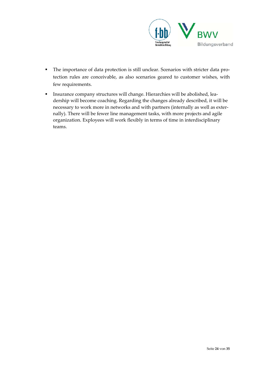

- The importance of data protection is still unclear. Scenarios with stricter data protection rules are conceivable, as also scenarios geared to customer wishes, with few requirements.
- Insurance company structures will change. Hierarchies will be abolished, leadership will become coaching. Regarding the changes already described, it will be necessary to work more in networks and with partners (internally as well as exter‐ nally). There will be fewer line management tasks, with more projects and agile organization. Exployees will work flexibly in terms of time in interdisciplinary teams.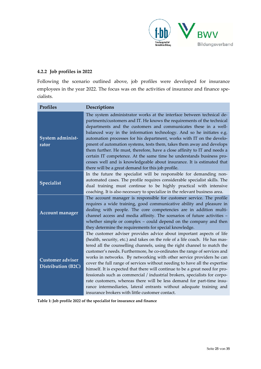

#### **4.2.2 Job profiles in 2022**

Following the scenario outlined above, job profiles were developed for insurance employees in the year 2022. The focus was on the activities of insurance and finance specialists.

| <b>Profiles</b>                                      | Descriptions                                                                                                                                                                                                                                                                                                                                                                                                                                                                                                                                                                                                                                                                                                                                                                                                                        |
|------------------------------------------------------|-------------------------------------------------------------------------------------------------------------------------------------------------------------------------------------------------------------------------------------------------------------------------------------------------------------------------------------------------------------------------------------------------------------------------------------------------------------------------------------------------------------------------------------------------------------------------------------------------------------------------------------------------------------------------------------------------------------------------------------------------------------------------------------------------------------------------------------|
| System administ-<br>rator                            | The system administrator works at the interface between technical de-<br>partments/customers and IT. He knows the requirements of the technical<br>departments and the customers and communicates these in a well-<br>balanced way in the information technology. And so he initiates e.g.<br>automation processes for his department, works with IT on the develo-<br>pment of automation systems, tests them, takes them away and develops<br>them further. He must, therefore, have a close affinity to IT and needs a<br>certain IT competence. At the same time he understands business pro-<br>cesses well and is knowledgeable about insurance. It is estimated that<br>there will be a great demand for this job profile.                                                                                                   |
| <b>Specialist</b>                                    | In the future the specialist will be responsible for demanding non-<br>automated cases. The profile requires considerable specialist skills. The<br>dual training must continue to be highly practical with intensive<br>coaching. It is also necessary to specialize in the relevant business area.                                                                                                                                                                                                                                                                                                                                                                                                                                                                                                                                |
| <b>Account manager</b>                               | The account manager is responsible for customer service. The profile<br>requires a wide training, good communicative ability and pleasure in<br>dealing with people. The core competencies are in addition multi-<br>channel access and media affinity. The scenarios of future activities -<br>whether simple or complex $-$ could depend on the company and then<br>they determine the requirements for special knowledge.                                                                                                                                                                                                                                                                                                                                                                                                        |
| <b>Customer adviser</b><br><b>Distribution (B2C)</b> | The customer adviser provides advice about important aspects of life<br>(health, security, etc.) and takes on the role of a life coach. He has mas-<br>tered all the counselling channels, using the right channel to match the<br>customer's needs. Furthermore, he co-ordinates the range of services and<br>works in networks. By networking with other service providers he can<br>cover the full range of services without needing to have all the expertise<br>himself. It is expected that there will continue to be a great need for pro-<br>fessionals such as commercial / industrial brokers, specialists for corpo-<br>rate customers, whereas there will be less demand for part-time insu-<br>rance intermediaries, lateral entrants without adequate training and<br>insurance brokers with little customer contact. |

**Table 1: Job profile 2022 of the specialist for insurance and finance**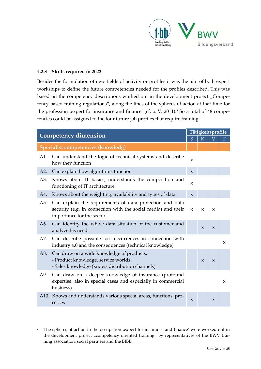

#### **4.2.3 Skills required in 2022**

Besides the formulation of new fields of activity or profiles it was the aim of both expert workships to define the future competencies needed for the profiles described. This was based on the competency descriptions worked out in the development project "Competency based training regulations", along the lines of the spheres of action at that time for the profession , expert for insurance and finance' (cf. o. V. 2011).<sup>3</sup> So a total of 48 competencies could be assigned to the four future job profiles that require training:

| <b>Competency dimension</b>        |                                                                                                                                                        | Tätigkeitsprofile |                     |                     |              |
|------------------------------------|--------------------------------------------------------------------------------------------------------------------------------------------------------|-------------------|---------------------|---------------------|--------------|
|                                    |                                                                                                                                                        | S                 | K                   |                     | F            |
| Specialist competencies (knowledg) |                                                                                                                                                        |                   |                     |                     |              |
| A1.                                | Can understand the logic of technical systems and describe<br>how they function                                                                        | X                 |                     |                     |              |
| A2.                                | Can explain how algorithms function                                                                                                                    | $\mathbf{x}$      |                     |                     |              |
| A3.                                | Knows about IT basics, understands the composition and<br>functioning of IT architecture                                                               | X                 |                     |                     |              |
| A4.                                | Knows about the weighting, availability and types of data                                                                                              | $\mathbf{x}$      |                     |                     |              |
| A5.                                | Can explain the requirements of data protection and data<br>security (e.g. in connection with the social media) and their<br>importance for the sector | X                 | X                   | X                   |              |
| A6.                                | Can identify the whole data situation of the customer and<br>analyze his need                                                                          |                   | $\boldsymbol{\chi}$ | $\mathbf{x}$        |              |
| A7.                                | Can describe possible loss occurrences in connection with<br>industry 4.0 and the consequences (technical knowledge)                                   |                   |                     |                     | $\mathsf{x}$ |
| A8.                                | Can draw on a wide knowledge of products:<br>- Product knowledge, service worlds<br>- Sales knowledge (knows distribution channels)                    |                   | $\mathsf{X}$        | $\boldsymbol{\chi}$ |              |
| A9.                                | Can draw on a deeper knowledge of insurance (profound<br>expertise, also in special cases and especially in commercial<br>business)                    |                   |                     |                     | X            |
|                                    | A10. Knows and understands various special areas, functions, pro-<br>cesses                                                                            | $\mathbf{x}$      |                     | $\boldsymbol{\chi}$ |              |

<sup>&</sup>lt;sup>3</sup> The spheres of action in the occupation , expert for insurance and finance' were worked out in the development project "competency oriented training" by representatives of the BWV training association, social partners and the BIBB.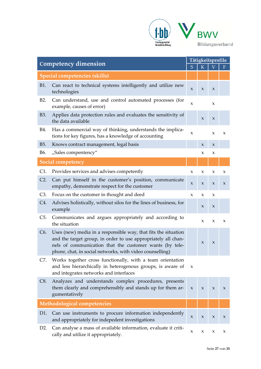

| <b>Competency dimension</b>          |                                                                                                                                                                                                                                                        | Tätigkeitsprofile   |                     |             |              |
|--------------------------------------|--------------------------------------------------------------------------------------------------------------------------------------------------------------------------------------------------------------------------------------------------------|---------------------|---------------------|-------------|--------------|
|                                      |                                                                                                                                                                                                                                                        | S                   | K                   |             | F            |
| <b>Special competencies (skills)</b> |                                                                                                                                                                                                                                                        |                     |                     |             |              |
| <b>B1.</b>                           | Can react to technical systems intelligently and utilize new<br>technologies                                                                                                                                                                           | X                   | X                   | X           |              |
| B <sub>2</sub> .                     | Can understand, use and control automated processes (for<br>example, causes of error)                                                                                                                                                                  | $\mathsf{x}$        |                     | X           |              |
| B3.                                  | Applies data protection rules and evaluates the sensitivity of<br>the data available                                                                                                                                                                   |                     | $\boldsymbol{\chi}$ | X           |              |
| B4.                                  | Has a commercial way of thinking, understands the implica-<br>tions for key figures, has a knowledge of accounting                                                                                                                                     | $\boldsymbol{\chi}$ |                     | $\mathbf x$ | $\mathsf{x}$ |
| B5.                                  | Knows contract management, legal basis                                                                                                                                                                                                                 |                     | $\boldsymbol{\chi}$ | X           |              |
| B6.                                  | "Sales compentency"                                                                                                                                                                                                                                    |                     | X                   | X           |              |
|                                      | <b>Social competency</b>                                                                                                                                                                                                                               |                     |                     |             |              |
| C1.                                  | Provides services and advises competently                                                                                                                                                                                                              | X                   | X                   | X           | X            |
| $C2$ .                               | Can put himself in the customer's position, communicate<br>empathy, demonstrate respect for the customer                                                                                                                                               | $\mathbf x$         | X                   | X           | X            |
| C3.                                  | Focus on the customer in thought and deed                                                                                                                                                                                                              | $\mathbf{x}$        | X                   | X           |              |
| C4.                                  | Advises holistically, without silos for the lines of business, for<br>example                                                                                                                                                                          |                     | $\mathsf X$         | $\mathsf X$ |              |
| $C5$ .                               | Communicates and argues appropriately and according to<br>the situation                                                                                                                                                                                |                     | X                   | X           | X            |
| C <sub>6</sub> .                     | Uses (new) media in a responsible way, that fits the situation<br>and the target group, in order to use appropriately all chan-<br>nels of communication that the customer wants (by tele-<br>phonr, chat, in social networks, with video counselling) |                     | $\boldsymbol{\chi}$ | X           |              |
| C7.                                  | Works together cross functionally, with a team orientation<br>and less hierarchically in heterogenous groups, is aware of<br>and integrates networks and interfaces                                                                                    | X                   |                     |             |              |
| C8.                                  | Analyzes and understands complex procedures, presents<br>them clearly and comprehensibly and stands up for them ar-<br>gumentatively                                                                                                                   | $\boldsymbol{\chi}$ | $\boldsymbol{\chi}$ | $\mathbf x$ | $\mathbf x$  |
| Methodological competencies          |                                                                                                                                                                                                                                                        |                     |                     |             |              |
| D <sub>1</sub> .                     | Can use instruments to procure information independently<br>and appropriately for indepedent investigations                                                                                                                                            | X                   | X                   | X           | X            |
| D2.                                  | Can analyse a mass of available information, evaluate it criti-<br>cally and utilize it appropriately.                                                                                                                                                 | $\mathsf X$         | X                   | X           | X            |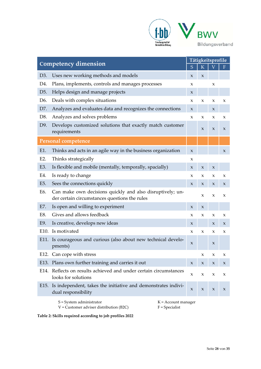

| <b>Competency dimension</b>                         |                                                                                                            | Tätigkeitsprofile   |                           |                           |                           |
|-----------------------------------------------------|------------------------------------------------------------------------------------------------------------|---------------------|---------------------------|---------------------------|---------------------------|
|                                                     |                                                                                                            | S                   | K                         |                           | F                         |
| D3.                                                 | Uses new working methods and models                                                                        | X                   | $\boldsymbol{\chi}$       |                           |                           |
| D4.                                                 | Plans, implements, controls and manages processes                                                          | X                   |                           | X                         |                           |
| D <sub>5</sub> .                                    | Helps design and manage projects                                                                           | X                   |                           |                           |                           |
| D6.                                                 | Deals with complex situations                                                                              | $\mathbf x$         | $\boldsymbol{\mathsf{X}}$ | $\boldsymbol{\chi}$       | X                         |
| D7.                                                 | Analyzes and evaluates data and recognizes the connections                                                 | X                   |                           | $\mathsf{X}$              |                           |
| D8.                                                 | Analyzes and solves problems                                                                               | X                   | X                         | X                         | X                         |
| D9.                                                 | Develops customized solutions that exactly match customer<br>requirements                                  |                     | $\boldsymbol{\chi}$       | $\boldsymbol{\chi}$       | X                         |
|                                                     | <b>Personal competence</b>                                                                                 |                     |                           |                           |                           |
| E1.                                                 | Thinks and acts in an agile way in the business organization                                               | $\mathbf{x}$        |                           |                           | $\mathsf{x}$              |
| E2.                                                 | Thinks strategically                                                                                       | X                   |                           |                           |                           |
| E3.                                                 | Is flexible and mobile (mentally, temporally, spacially)                                                   | $\boldsymbol{\chi}$ | X                         | $\boldsymbol{\chi}$       |                           |
| E4.                                                 | Is ready to change                                                                                         | X                   | X                         | X                         | X                         |
| E5.                                                 | Sees the connections quickly                                                                               | $\boldsymbol{\chi}$ | X                         | X                         | X                         |
| E6.                                                 | Can make own decisions quickly and also disruptively; un-<br>der certain circumstances questions the rules |                     | X                         | X                         | X                         |
| E7.                                                 | Is open and willing to experiment                                                                          | X                   | X                         |                           |                           |
| E8.                                                 | Gives and allows feedback                                                                                  | X                   | X                         | X                         | X                         |
| E9.                                                 | Is creative, develops new ideas                                                                            | X                   |                           | X                         | X                         |
| E10.                                                | Is motivated                                                                                               | X                   | $\pmb{\chi}$              | X                         | X                         |
| E11.                                                | Is courageous and curious (also about new technical develo-<br>pments)                                     | X                   |                           | X                         |                           |
|                                                     | E12. Can cope with stress                                                                                  |                     | X                         | X                         | x                         |
|                                                     | E13. Plans own further training and carries it out                                                         | X                   | $\mathsf X$               | $\mathsf X$               | $\boldsymbol{\mathsf{X}}$ |
|                                                     | E14. Reflects on results achieved and under certain circumstances<br>looks for solutions                   | X                   | $\pmb{\chi}$              | X                         | X                         |
| E <sub>15</sub> .                                   | Is independent, takes the initiative and demonstrates indivi-<br>dual responsibility                       | X                   | $\boldsymbol{\mathsf{X}}$ | $\boldsymbol{\mathsf{X}}$ | X                         |
| $S = System$ administrator<br>$K =$ Account manager |                                                                                                            |                     |                           |                           |                           |

**Table 2: Skills required according to job profiles 2022** 

V = Customer adviser distribution (B2C)

F = Specialist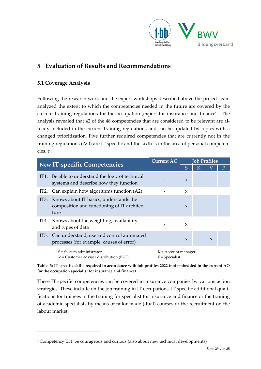

## **5 Evaluation of Results and Recommendations**

#### **5.1 Coverage Analysis**

Following the research work and the expert workshops described above the project team analyzed the extent to which the competencies needed in the future are covered by the current training regulations for the occupation , expert for insurance and finance'. The analysis revealed that 42 of the 48 competencies that are considered to be relevant are al‐ ready included in the current training regulations and can be updated by topics with a changed prioritization. Five further required competencies that are currently not in the training regulations (AO) are IT specific and the sixth is in the area of personal competen‐ cies. t<sup>4</sup>:

| <b>New IT-specific Competencies</b> |                                                                                                    | <b>Current AO</b>                         | <b>Job Profiles</b> |   |              |   |
|-------------------------------------|----------------------------------------------------------------------------------------------------|-------------------------------------------|---------------------|---|--------------|---|
|                                     |                                                                                                    |                                           | S                   | К |              | F |
|                                     | IT1. Be able to understand the logic of technical<br>systems and describe how they function        |                                           | $\mathbf{x}$        |   |              |   |
|                                     | IT2. Can explain how algorithms function (A2)                                                      |                                           | $\mathbf{x}$        |   |              |   |
|                                     | IT3. Knows about IT basics, understands the<br>composition and functioning of IT architec-<br>ture |                                           | $\mathbf{x}$        |   |              |   |
|                                     | IT4. Knows about the weighting, availability<br>and types of data                                  |                                           | $\mathbf{x}$        |   |              |   |
|                                     | IT5. Can understand, use and control automated<br>processes (for example, causes of error)         |                                           | $\mathbf{x}$        |   | $\mathbf{x}$ |   |
|                                     | $S = System$ administrator<br>$V =$ Customer adviser distribution (B2C)                            | $K =$ Account manager<br>$F = Specialist$ |                     |   |              |   |

Table 3: IT-specific skills required in accordance with job profiles 2022 (not embedded in the current AO **for the occupation specialist for insurance and finance)**

These IT specific competencies can be covered in insurance companies by various action strategies. These include on the job training in IT occupations, IT specific additional qualifications for trainees in the training for specialist for insurance and finance or the training of academic specialists by means of tailor‐made (dual) courses or the recruitment on the labour market.

<sup>4</sup> Competency E11: be courageous and curious (also about new technical developments)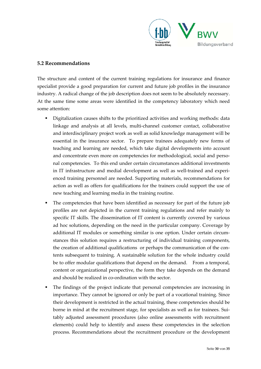

#### **5.2 Recommendations**

The structure and content of the current training regulations for insurance and finance specialist provide a good preparation for current and future job profiles in the insurance industry. A radical change of the job description does not seem to be absolutely necessary. At the same time some areas were identified in the competency laboratory which need some attention:

- Digitalization causes shifts to the prioritized activities and working methods: data linkage and analysis at all levels, multi‐channel customer contact, collaborative and interdisciplinary project work as well as solid knowledge management will be essential in the insurance sector. To prepare trainees adequately new forms of teaching and learning are needed, which take digital developments into account and concentrate even more on competencies for methodological, social and personal competencies. To this end under certain circumstances additional investments in IT infrastructure and medial development as well as well-trained and experienced training personnel are needed. Supporting materials, recommendations for action as well as offers for qualifications for the trainers could support the use of new teaching and learning media in the training routine.
- The competencies that have been identified as necessary for part of the future job profiles are not depicted in the current training regulations and refer mainly to specific IT skills. The dissemination of IT content is currently covered by various ad hoc solutions, depending on the need in the particular company. Coverage by additional IT modules or something similar is one option. Under certain circum‐ stances this solution requires a restructuring of individual training components, the creation of additional qualifications or perhaps the communication of the contents subsequent to training. A sustainable solution for the whole industry could be to offer modular qualifications that depend on the demand. From a temporal, content or organizational perspective, the form they take depends on the demand and should be realized in co‐ordination with the sector.
- The findings of the project indicate that personal competencies are increasing in importance. They cannot be ignored or only be part of a vocational training. Since their development is restricted in the actual training, these competencies should be borne in mind at the recruitment stage, for specialists as well as for trainees. Suitably adjusted assessment procedures (also online assessments with recruitment elements) could help to identify and assess these competencies in the selection process. Recommendations about the recruitment procedure or the development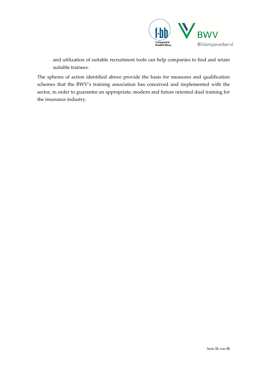

and utilization of suitable recruitment tools can help companies to find and retain suitable trainees.

The spheres of action identified above provide the basis for measures and qualification schemes that the BWV's training association has conceived and implemented with the sector, in order to guarantee an appropriate, modern and future oriented dual training for the insurance industry.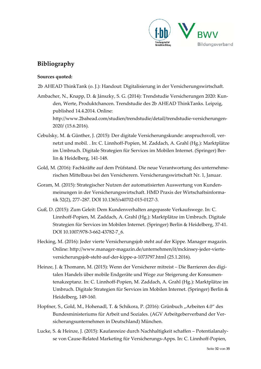

# **Bibliography**

#### **Sources quoted:**

2b AHEAD ThinkTank (o. J.): Handout: Digitalisierung in der Versicherungswirtschaft.

- Ambacher, N., Knapp, D. & Jánszky, S. G. (2014): Trendstudie Versicherungen 2020: Kun‐ den, Werte, Produktchancen. Trendstudie des 2b AHEAD ThinkTanks. Leipzig, published 14.4.2014. Online: http://www.2bahead.com/studien/trendstudie/detail/trendstudie‐versicherungen‐ 2020/ (15.6.2016).
- Cebulsky, M. & Günther, J. (2015): Der digitale Versicherungskunde: anspruchsvoll, ver‐ netzt und mobil. . In: C. Linnhoff‐Popien, M. Zaddach, A. Grahl (Hg.): Marktplätze im Umbruch. Digitale Strategien für Services im Mobilen Internet. (Springer) Ber‐ lin & Heidelberg, 141‐148.
- Gold, M. (2016): Fachkräfte auf dem Prüfstand. Die neue Verantwortung des unternehme‐ rischen Mittelbaus bei den Versicherern. Versicherungswirtschaft Nr. 1, Januar.
- Goram, M. (2015): Strategischer Nutzen der automatisierten Auswertung von Kunden‐ meinungen in der Versicherungswirtschaft. HMD Praxis der Wirtschaftsinforma‐ tik 52(2), 277–287. DOI 10.1365/s40702‐015‐0127‐3.
- Guß, D. (2015): Zum Geleit: Dem Kundenverhalten angepasste Verkaufswege. In: C. Linnhoff‐Popien, M. Zaddach, A. Grahl (Hg.): Marktplätze im Umbruch. Digitale Strategien für Services im Mobilen Internet. (Springer) Berlin & Heidelberg, 37‐41. DOI 10.1007/978‐3‐662‐43782‐7\_6.
- Hecking, M. (2016): Jeder vierte Versicherungsjob steht auf der Kippe. Manager magazin. Online: http://www.manager‐magazin.de/unternehmen/it/mckinsey‐jeder‐vierte‐ versicherungsjob‐steht‐auf‐der‐kippe‐a‐1073797.html (25.1.2016).
- Heinze, J. & Thomann, M. (2015): Wenn der Versicherer mitreist Die Barrieren des digitalen Handels über mobile Endgeräte und Wege zur Steigerung der Konsumen‐ tenakzeptanz. In: C. Linnhoff‐Popien, M. Zaddach, A. Grahl (Hg.): Marktplätze im Umbruch. Digitale Strategien für Services im Mobilen Internet. (Springer) Berlin & Heidelberg, 149‐160.
- Hopfner, S., Gold, M., Hohenadl, T. & Schikora, P. (2016): Grünbuch "Arbeiten 4.0" des Bundesministeriums für Arbeit und Soziales. (AGV Arbeitgeberverband der Ver‐ sicherungsunternehmen in Deutschland) München.
- Lucke, S. & Heinze, J. (2015): Kaufanreize durch Nachhaltigkeit schaffen Potentialanaly‐ se von Cause‐Related Marketing für Versicherungs‐Apps. In: C. Linnhoff‐Popien,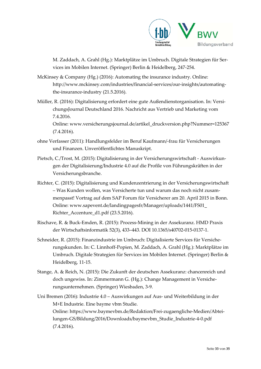

M. Zaddach, A. Grahl (Hg.): Marktplätze im Umbruch. Digitale Strategien für Ser‐ vices im Mobilen Internet. (Springer) Berlin & Heidelberg, 247‐254.

McKinsey & Company (Hg.) (2016): Automating the insurance industry. Online: http://www.mckinsey.com/industries/financial‐services/our‐insights/automating‐ the-insurance-industry (21.5.2016).

Müller, R. (2016): Digitalisierung erfordert eine gute Außendienstorganisation. In: Versi‐ chungsJournal Deutschland 2016. Nachricht aus Vertrieb und Marketing vom 7.4.2016.

Online: www.versicherungsjournal.de/artikel\_druckversion.php?Nummer=125367 (7.4.2016).

- ohne Verfasser (2011): Handlungsfelder im Beruf Kaufmann/‐frau für Versicherungen und Finanzen. Unveröffentlichtes Manuskript.
- Pietsch, C./Trost, M. (2015): Digitalisierung in der Versicherungswirtschaft ‐ Auswirkun‐ gen der Digitalisierung/Industrie 4.0 auf die Profile von Führungskräften in der Versicherungsbranche.
- Richter, C. (2015): Digitalisierung und Kundenzentrierung in der Versicherungswirtschaft – Was Kunden wollen, was Versicherte tun und warum das noch nicht zusam‐ menpasst! Vortrag auf dem SAP Forum für Versicherer am 20. April 2015 in Bonn. Online: www.sapevent.de/landingpagesfr/Manager/uploads/1441/FS01\_ Richter\_Accenture\_d1.pdf (23.5.2016).
- Rischave, R. & Buck‐Emden, R. (2015): Process‐Mining in der Assekuranz. HMD Praxis der Wirtschaftsinformatik 52(3), 433–443. DOI 10.1365/s40702‐015‐0137‐1.
- Schneider, R. (2015): Finanzindustrie im Umbruch: Digitalisierte Services für Versiche‐ rungskunden. In: C. Linnhoff‐Popien, M. Zaddach, A. Grahl (Hg.): Marktplätze im Umbruch. Digitale Strategien für Services im Mobilen Internet. (Springer) Berlin & Heidelberg, 11‐15.
- Stange, A. & Reich, N. (2015): Die Zukunft der deutschen Assekuranz: chancenreich und doch ungewiss. In: Zimmermann G. (Hg.): Change Management in Versiche‐ rungsunternehmen. (Springer) Wiesbaden, 3‐9.

Uni Bremen (2016): Industrie 4.0 – Auswirkungen auf Aus‐ und Weiterbildung in der M+E Industrie. Eine bayme vbm Studie. Online: https://www.baymevbm.de/Redaktion/Frei‐zugaengliche‐Medien/Abtei‐ lungen‐GS/Bildung/2016/Downloads/baymevbm\_Studie\_Industrie‐4‐0.pdf (7.4.2016).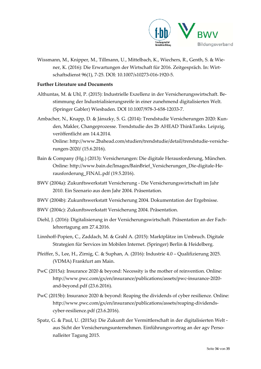

Wissmann, M., Knipper, M., Tillmann, U., Mittelbach, K., Wiechers, R., Genth, S. & Wie‐ ner, K. (2016): Die Erwartungen der Wirtschaft für 2016. Zeitgespräch. In: Wirt‐ schaftsdienst 96(1), 7‐25. DOI: 10.1007/s10273‐016‐1920‐5.

#### **Further Literature und Documents**

- Althuntas, M. & Uhl, P. (2015): Industrielle Exzellenz in der Versicherungswirtschaft. Be‐ stimmung der Industrialisierungsreife in einer zunehmend digitalisierten Welt. (Springer Gabler) Wiesbaden. DOI 10.1007/978‐3‐658‐12033‐7.
- Ambacher, N., Knapp, D. & Jánszky, S. G. (2014): Trendstudie Versicherungen 2020: Kun‐ den, Makler, Changeprozesse. Trendstudie des 2b AHEAD ThinkTanks. Leipzig, veröffentlicht am 14.4.2014. Online: http://www.2bahead.com/studien/trendstudie/detail/trendstudie‐versiche‐ rungen‐2020/ (15.6.2016).
- Bain & Company (Hg.) (2013): Versicherungen: Die digitale Herausforderung, München. Online: http://www.bain.de/Images/BainBrief\_Versicherungen\_Die‐digitale‐He‐ rausforderung\_FINAL.pdf (19.5.2016).
- BWV (2004a): Zukunftswerkstatt Versicherung ‐ Die Versicherungswirtschaft im Jahr 2010. Ein Szenario aus dem Jahr 2004. Präsentation.
- BWV (2004b): Zukunftswerkstatt Versicherung 2004. Dokumentation der Ergebnisse.
- BWV (2004c): Zukunftswerkstatt Versicherung 2004. Präsentation.
- Diehl, J. (2016): Digitalisierung in der Versicherungswirtschaft. Präsentation an der Fach‐ lehrertagung am 27.4.2016.
- Linnhoff‐Popien, C., Zaddach, M. & Grahl A. (2015): Marktplätze im Umbruch. Digitale Strategien für Services im Mobilen Internet. (Springer) Berlin & Heidelberg.
- Pfeiffer, S., Lee, H., Zirnig, C. & Suphan, A. (2016): Industrie 4.0 Qualifizierung 2025. (VDMA) Frankfurt am Main.
- PwC (2015a): Insurance 2020 & beyond: Necessity is the mother of reinvention. Online: http://www.pwc.com/gx/en/insurance/publications/assets/pwc‐insurance‐2020‐ and‐beyond.pdf (23.6.2016).
- PwC (2015b): Insurance 2020 & beyond: Reaping the dividends of cyber resilience. Online: http://www.pwc.com/gx/en/insurance/publications/assets/reaping‐dividends‐ cyber‐resilience.pdf (23.6.2016).
- Spatz, G. & Paul, U. (2015a): Die Zukunft der Vermittlerschaft in der digitalisierten Welt ‐ aus Sicht der Versicherungsunternehmen. Einführungsvortrag an der agv Perso‐ nalleiter Tagung 2015.